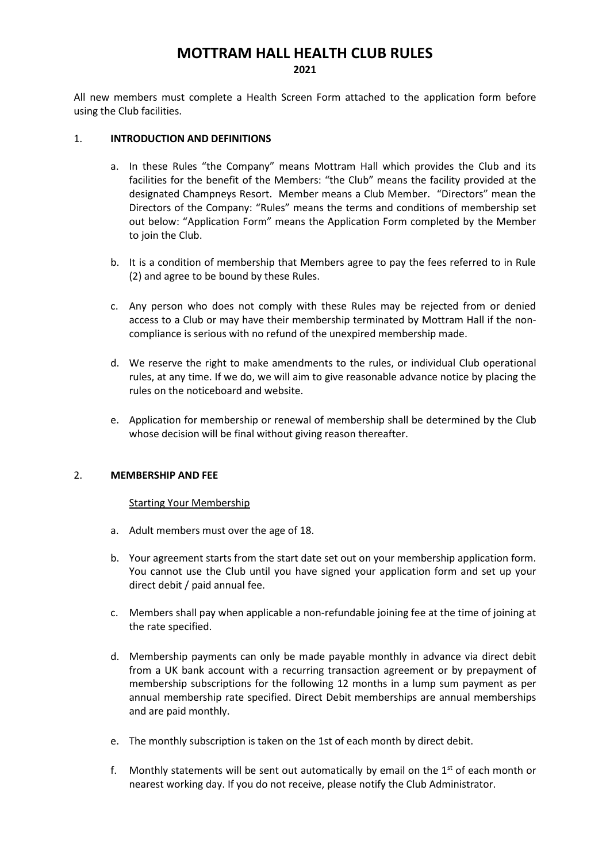# **MOTTRAM HALL HEALTH CLUB RULES 2021**

All new members must complete a Health Screen Form attached to the application form before using the Club facilities.

## 1. **INTRODUCTION AND DEFINITIONS**

- a. In these Rules "the Company" means Mottram Hall which provides the Club and its facilities for the benefit of the Members: "the Club" means the facility provided at the designated Champneys Resort. Member means a Club Member. "Directors" mean the Directors of the Company: "Rules" means the terms and conditions of membership set out below: "Application Form" means the Application Form completed by the Member to join the Club.
- b. It is a condition of membership that Members agree to pay the fees referred to in Rule (2) and agree to be bound by these Rules.
- c. Any person who does not comply with these Rules may be rejected from or denied access to a Club or may have their membership terminated by Mottram Hall if the noncompliance is serious with no refund of the unexpired membership made.
- d. We reserve the right to make amendments to the rules, or individual Club operational rules, at any time. If we do, we will aim to give reasonable advance notice by placing the rules on the noticeboard and website.
- e. Application for membership or renewal of membership shall be determined by the Club whose decision will be final without giving reason thereafter.

## 2. **MEMBERSHIP AND FEE**

## Starting Your Membership

- a. Adult members must over the age of 18.
- b. Your agreement starts from the start date set out on your membership application form. You cannot use the Club until you have signed your application form and set up your direct debit / paid annual fee.
- c. Members shall pay when applicable a non-refundable joining fee at the time of joining at the rate specified.
- d. Membership payments can only be made payable monthly in advance via direct debit from a UK bank account with a recurring transaction agreement or by prepayment of membership subscriptions for the following 12 months in a lump sum payment as per annual membership rate specified. Direct Debit memberships are annual memberships and are paid monthly.
- e. The monthly subscription is taken on the 1st of each month by direct debit.
- f. Monthly statements will be sent out automatically by email on the  $1<sup>st</sup>$  of each month or nearest working day. If you do not receive, please notify the Club Administrator.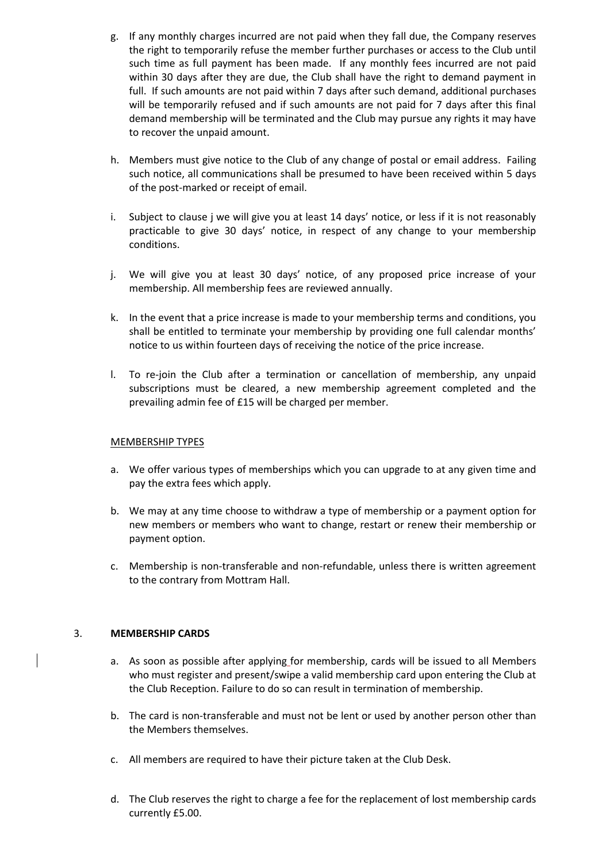- g. If any monthly charges incurred are not paid when they fall due, the Company reserves the right to temporarily refuse the member further purchases or access to the Club until such time as full payment has been made. If any monthly fees incurred are not paid within 30 days after they are due, the Club shall have the right to demand payment in full. If such amounts are not paid within 7 days after such demand, additional purchases will be temporarily refused and if such amounts are not paid for 7 days after this final demand membership will be terminated and the Club may pursue any rights it may have to recover the unpaid amount.
- h. Members must give notice to the Club of any change of postal or email address. Failing such notice, all communications shall be presumed to have been received within 5 days of the post-marked or receipt of email.
- i. Subject to clause j we will give you at least 14 days' notice, or less if it is not reasonably practicable to give 30 days' notice, in respect of any change to your membership conditions.
- j. We will give you at least 30 days' notice, of any proposed price increase of your membership. All membership fees are reviewed annually.
- k. In the event that a price increase is made to your membership terms and conditions, you shall be entitled to terminate your membership by providing one full calendar months' notice to us within fourteen days of receiving the notice of the price increase.
- l. To re-join the Club after a termination or cancellation of membership, any unpaid subscriptions must be cleared, a new membership agreement completed and the prevailing admin fee of £15 will be charged per member.

## MEMBERSHIP TYPES

- a. We offer various types of memberships which you can upgrade to at any given time and pay the extra fees which apply.
- b. We may at any time choose to withdraw a type of membership or a payment option for new members or members who want to change, restart or renew their membership or payment option.
- c. Membership is non-transferable and non-refundable, unless there is written agreement to the contrary from Mottram Hall.

## 3. **MEMBERSHIP CARDS**

- a. As soon as possible after applying for membership, cards will be issued to all Members who must register and present/swipe a valid membership card upon entering the Club at the Club Reception. Failure to do so can result in termination of membership.
- b. The card is non-transferable and must not be lent or used by another person other than the Members themselves.
- c. All members are required to have their picture taken at the Club Desk.
- d. The Club reserves the right to charge a fee for the replacement of lost membership cards currently £5.00.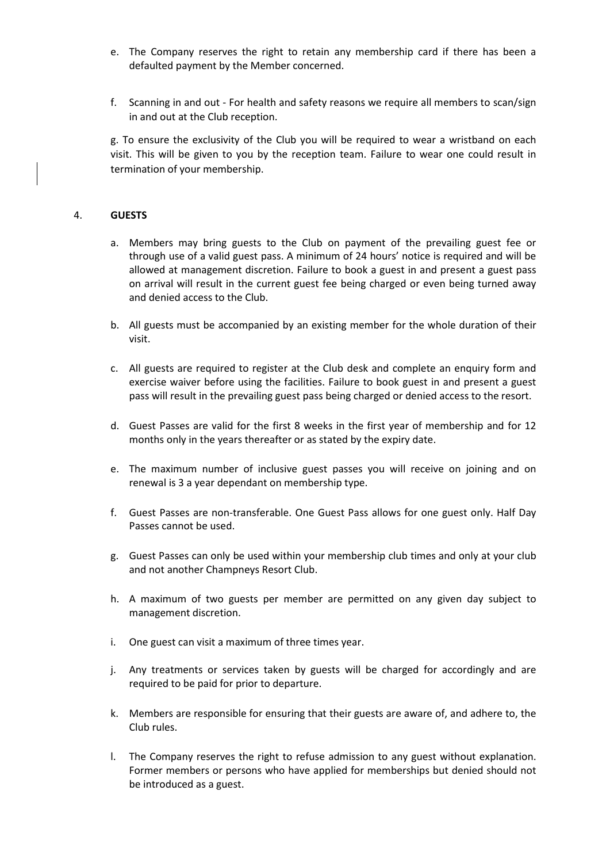- e. The Company reserves the right to retain any membership card if there has been a defaulted payment by the Member concerned.
- f. Scanning in and out For health and safety reasons we require all members to scan/sign in and out at the Club reception.

g. To ensure the exclusivity of the Club you will be required to wear a wristband on each visit. This will be given to you by the reception team. Failure to wear one could result in termination of your membership.

#### 4. **GUESTS**

- a. Members may bring guests to the Club on payment of the prevailing guest fee or through use of a valid guest pass. A minimum of 24 hours' notice is required and will be allowed at management discretion. Failure to book a guest in and present a guest pass on arrival will result in the current guest fee being charged or even being turned away and denied access to the Club.
- b. All guests must be accompanied by an existing member for the whole duration of their visit.
- c. All guests are required to register at the Club desk and complete an enquiry form and exercise waiver before using the facilities. Failure to book guest in and present a guest pass will result in the prevailing guest pass being charged or denied access to the resort.
- d. Guest Passes are valid for the first 8 weeks in the first year of membership and for 12 months only in the years thereafter or as stated by the expiry date.
- e. The maximum number of inclusive guest passes you will receive on joining and on renewal is 3 a year dependant on membership type.
- f. Guest Passes are non-transferable. One Guest Pass allows for one guest only. Half Day Passes cannot be used.
- g. Guest Passes can only be used within your membership club times and only at your club and not another Champneys Resort Club.
- h. A maximum of two guests per member are permitted on any given day subject to management discretion.
- i. One guest can visit a maximum of three times year.
- j. Any treatments or services taken by guests will be charged for accordingly and are required to be paid for prior to departure.
- k. Members are responsible for ensuring that their guests are aware of, and adhere to, the Club rules.
- l. The Company reserves the right to refuse admission to any guest without explanation. Former members or persons who have applied for memberships but denied should not be introduced as a guest.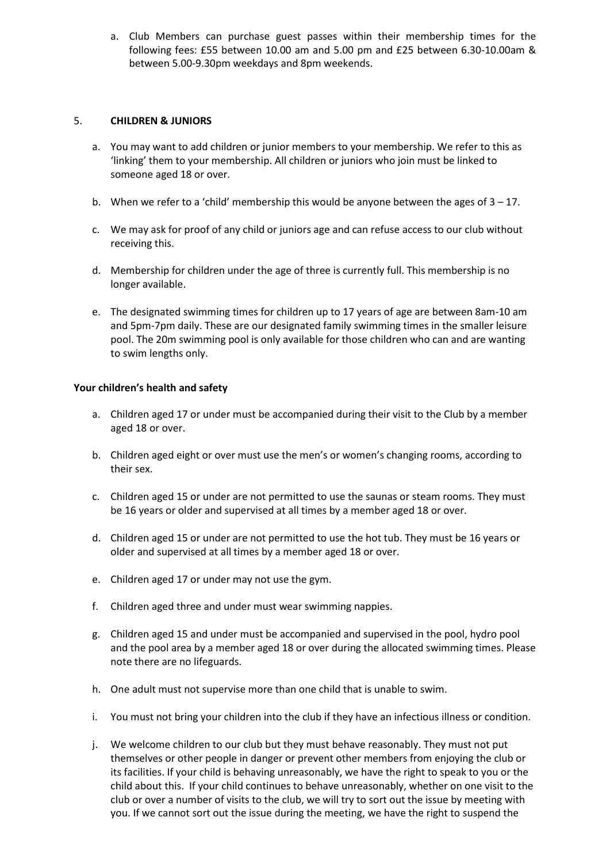a. Club Members can purchase guest passes within their membership times for the following fees: £55 between 10.00 am and 5.00 pm and £25 between 6.30-10.00am & between 5.00-9.30pm weekdays and 8pm weekends.

## 5. **CHILDREN & JUNIORS**

- a. You may want to add children or junior members to your membership. We refer to this as 'linking' them to your membership. All children or juniors who join must be linked to someone aged 18 or over.
- b. When we refer to a 'child' membership this would be anyone between the ages of  $3 17$ .
- c. We may ask for proof of any child or juniors age and can refuse access to our club without receiving this.
- d. Membership for children under the age of three is currently full. This membership is no longer available.
- e. The designated swimming times for children up to 17 years of age are between 8am-10 am and 5pm-7pm daily. These are our designated family swimming times in the smaller leisure pool. The 20m swimming pool is only available for those children who can and are wanting to swim lengths only.

## **Your children's health and safety**

- a. Children aged 17 or under must be accompanied during their visit to the Club by a member aged 18 or over.
- b. Children aged eight or over must use the men's or women's changing rooms, according to their sex.
- c. Children aged 15 or under are not permitted to use the saunas or steam rooms. They must be 16 years or older and supervised at all times by a member aged 18 or over.
- d. Children aged 15 or under are not permitted to use the hot tub. They must be 16 years or older and supervised at all times by a member aged 18 or over.
- e. Children aged 17 or under may not use the gym.
- f. Children aged three and under must wear swimming nappies.
- g. Children aged 15 and under must be accompanied and supervised in the pool, hydro pool and the pool area by a member aged 18 or over during the allocated swimming times. Please note there are no lifeguards.
- h. One adult must not supervise more than one child that is unable to swim.
- i. You must not bring your children into the club if they have an infectious illness or condition.
- j. We welcome children to our club but they must behave reasonably. They must not put themselves or other people in danger or prevent other members from enjoying the club or its facilities. If your child is behaving unreasonably, we have the right to speak to you or the child about this. If your child continues to behave unreasonably, whether on one visit to the club or over a number of visits to the club, we will try to sort out the issue by meeting with you. If we cannot sort out the issue during the meeting, we have the right to suspend the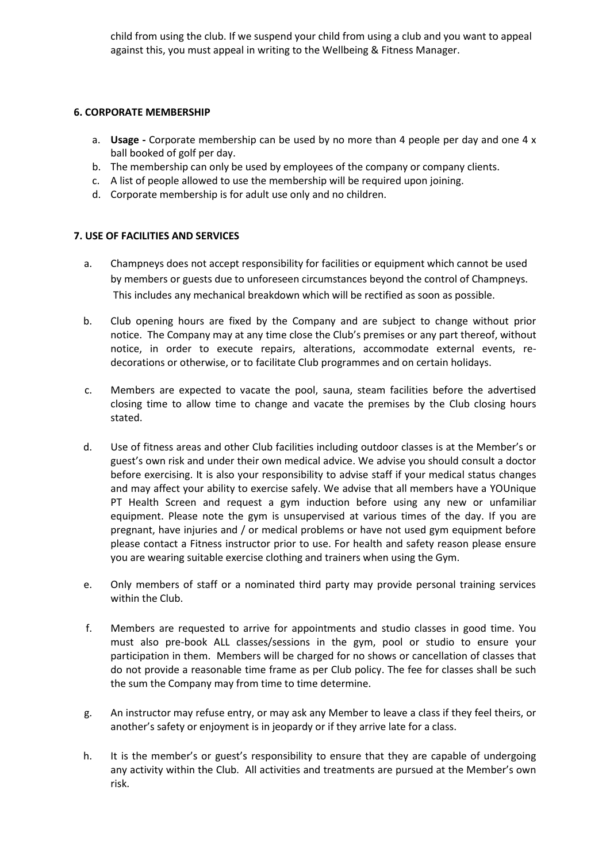child from using the club. If we suspend your child from using a club and you want to appeal against this, you must appeal in writing to the Wellbeing & Fitness Manager.

## **6. CORPORATE MEMBERSHIP**

- a. **Usage -** Corporate membership can be used by no more than 4 people per day and one 4 x ball booked of golf per day.
- b. The membership can only be used by employees of the company or company clients.
- c. A list of people allowed to use the membership will be required upon joining.
- d. Corporate membership is for adult use only and no children.

# **7. USE OF FACILITIES AND SERVICES**

- a. Champneys does not accept responsibility for facilities or equipment which cannot be used by members or guests due to unforeseen circumstances beyond the control of Champneys. This includes any mechanical breakdown which will be rectified as soon as possible.
- b. Club opening hours are fixed by the Company and are subject to change without prior notice. The Company may at any time close the Club's premises or any part thereof, without notice, in order to execute repairs, alterations, accommodate external events, redecorations or otherwise, or to facilitate Club programmes and on certain holidays.
- c. Members are expected to vacate the pool, sauna, steam facilities before the advertised closing time to allow time to change and vacate the premises by the Club closing hours stated.
- d. Use of fitness areas and other Club facilities including outdoor classes is at the Member's or guest's own risk and under their own medical advice. We advise you should consult a doctor before exercising. It is also your responsibility to advise staff if your medical status changes and may affect your ability to exercise safely. We advise that all members have a YOUnique PT Health Screen and request a gym induction before using any new or unfamiliar equipment. Please note the gym is unsupervised at various times of the day. If you are pregnant, have injuries and / or medical problems or have not used gym equipment before please contact a Fitness instructor prior to use. For health and safety reason please ensure you are wearing suitable exercise clothing and trainers when using the Gym.
- e. Only members of staff or a nominated third party may provide personal training services within the Club.
- f. Members are requested to arrive for appointments and studio classes in good time. You must also pre-book ALL classes/sessions in the gym, pool or studio to ensure your participation in them. Members will be charged for no shows or cancellation of classes that do not provide a reasonable time frame as per Club policy. The fee for classes shall be such the sum the Company may from time to time determine.
- g. An instructor may refuse entry, or may ask any Member to leave a class if they feel theirs, or another's safety or enjoyment is in jeopardy or if they arrive late for a class.
- h. It is the member's or guest's responsibility to ensure that they are capable of undergoing any activity within the Club. All activities and treatments are pursued at the Member's own risk.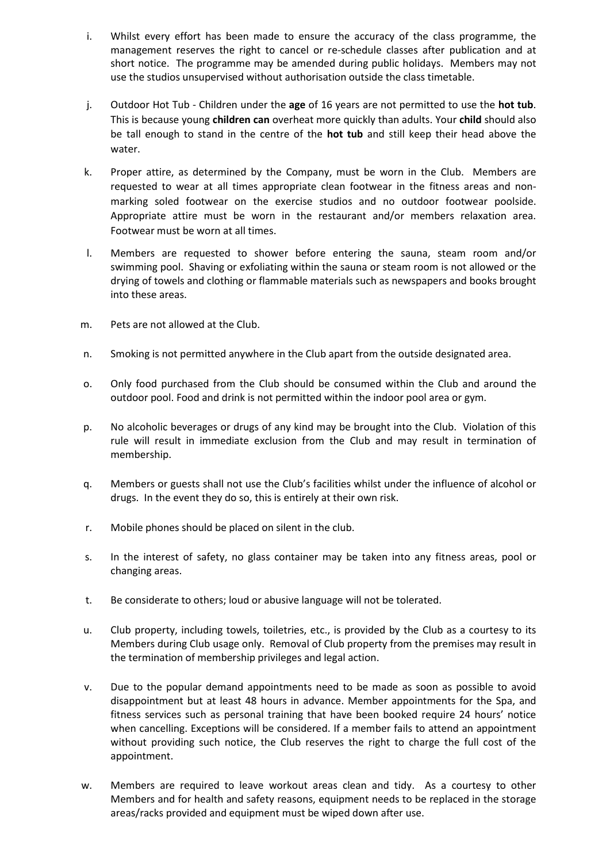- i. Whilst every effort has been made to ensure the accuracy of the class programme, the management reserves the right to cancel or re-schedule classes after publication and at short notice. The programme may be amended during public holidays. Members may not use the studios unsupervised without authorisation outside the class timetable.
- j. Outdoor Hot Tub Children under the **age** of 16 years are not permitted to use the **hot tub**. This is because young **children can** overheat more quickly than adults. Your **child** should also be tall enough to stand in the centre of the **hot tub** and still keep their head above the water.
- k. Proper attire, as determined by the Company, must be worn in the Club. Members are requested to wear at all times appropriate clean footwear in the fitness areas and nonmarking soled footwear on the exercise studios and no outdoor footwear poolside. Appropriate attire must be worn in the restaurant and/or members relaxation area. Footwear must be worn at all times.
- l. Members are requested to shower before entering the sauna, steam room and/or swimming pool. Shaving or exfoliating within the sauna or steam room is not allowed or the drying of towels and clothing or flammable materials such as newspapers and books brought into these areas.
- m. Pets are not allowed at the Club.
- n. Smoking is not permitted anywhere in the Club apart from the outside designated area.
- o. Only food purchased from the Club should be consumed within the Club and around the outdoor pool. Food and drink is not permitted within the indoor pool area or gym.
- p. No alcoholic beverages or drugs of any kind may be brought into the Club. Violation of this rule will result in immediate exclusion from the Club and may result in termination of membership.
- q. Members or guests shall not use the Club's facilities whilst under the influence of alcohol or drugs. In the event they do so, this is entirely at their own risk.
- r. Mobile phones should be placed on silent in the club.
- s. In the interest of safety, no glass container may be taken into any fitness areas, pool or changing areas.
- t. Be considerate to others; loud or abusive language will not be tolerated.
- u. Club property, including towels, toiletries, etc., is provided by the Club as a courtesy to its Members during Club usage only. Removal of Club property from the premises may result in the termination of membership privileges and legal action.
- v. Due to the popular demand appointments need to be made as soon as possible to avoid disappointment but at least 48 hours in advance. Member appointments for the Spa, and fitness services such as personal training that have been booked require 24 hours' notice when cancelling. Exceptions will be considered. If a member fails to attend an appointment without providing such notice, the Club reserves the right to charge the full cost of the appointment.
- w. Members are required to leave workout areas clean and tidy. As a courtesy to other Members and for health and safety reasons, equipment needs to be replaced in the storage areas/racks provided and equipment must be wiped down after use.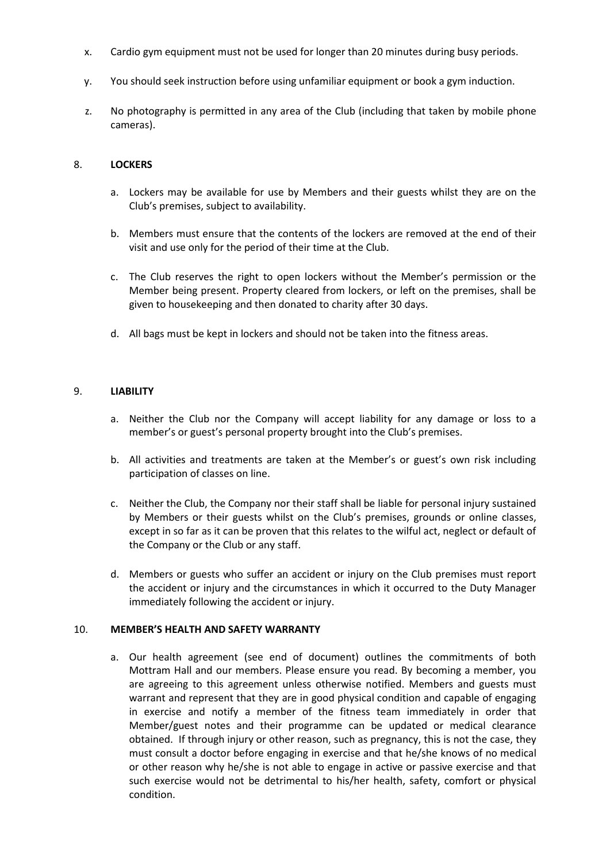- x. Cardio gym equipment must not be used for longer than 20 minutes during busy periods.
- y. You should seek instruction before using unfamiliar equipment or book a gym induction.
- z. No photography is permitted in any area of the Club (including that taken by mobile phone cameras).

#### 8. **LOCKERS**

- a. Lockers may be available for use by Members and their guests whilst they are on the Club's premises, subject to availability.
- b. Members must ensure that the contents of the lockers are removed at the end of their visit and use only for the period of their time at the Club.
- c. The Club reserves the right to open lockers without the Member's permission or the Member being present. Property cleared from lockers, or left on the premises, shall be given to housekeeping and then donated to charity after 30 days.
- d. All bags must be kept in lockers and should not be taken into the fitness areas.

#### 9. **LIABILITY**

- a. Neither the Club nor the Company will accept liability for any damage or loss to a member's or guest's personal property brought into the Club's premises.
- b. All activities and treatments are taken at the Member's or guest's own risk including participation of classes on line.
- c. Neither the Club, the Company nor their staff shall be liable for personal injury sustained by Members or their guests whilst on the Club's premises, grounds or online classes, except in so far as it can be proven that this relates to the wilful act, neglect or default of the Company or the Club or any staff.
- d. Members or guests who suffer an accident or injury on the Club premises must report the accident or injury and the circumstances in which it occurred to the Duty Manager immediately following the accident or injury.

#### 10. **MEMBER'S HEALTH AND SAFETY WARRANTY**

a. Our health agreement (see end of document) outlines the commitments of both Mottram Hall and our members. Please ensure you read. By becoming a member, you are agreeing to this agreement unless otherwise notified. Members and guests must warrant and represent that they are in good physical condition and capable of engaging in exercise and notify a member of the fitness team immediately in order that Member/guest notes and their programme can be updated or medical clearance obtained. If through injury or other reason, such as pregnancy, this is not the case, they must consult a doctor before engaging in exercise and that he/she knows of no medical or other reason why he/she is not able to engage in active or passive exercise and that such exercise would not be detrimental to his/her health, safety, comfort or physical condition.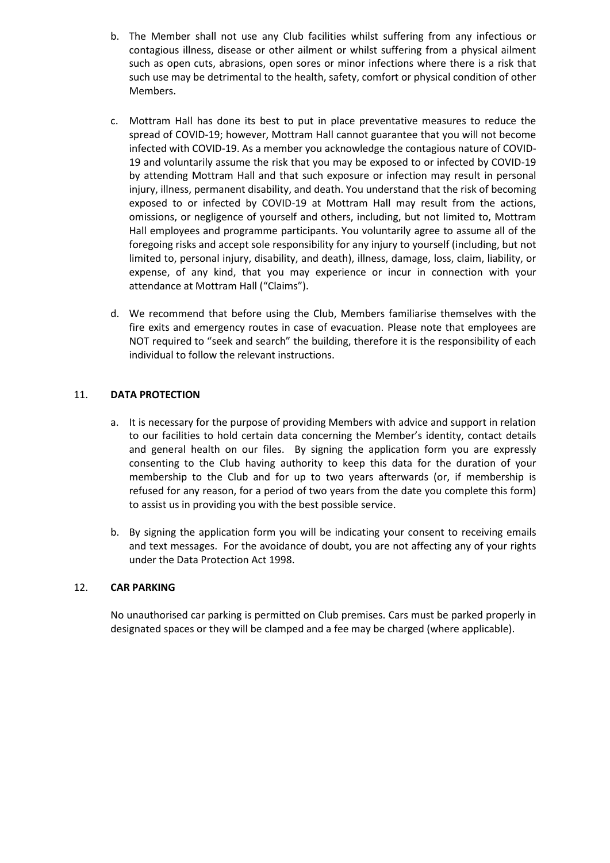- b. The Member shall not use any Club facilities whilst suffering from any infectious or contagious illness, disease or other ailment or whilst suffering from a physical ailment such as open cuts, abrasions, open sores or minor infections where there is a risk that such use may be detrimental to the health, safety, comfort or physical condition of other Members.
- c. Mottram Hall has done its best to put in place preventative measures to reduce the spread of COVID-19; however, Mottram Hall cannot guarantee that you will not become infected with COVID-19. As a member you acknowledge the contagious nature of COVID-19 and voluntarily assume the risk that you may be exposed to or infected by COVID-19 by attending Mottram Hall and that such exposure or infection may result in personal injury, illness, permanent disability, and death. You understand that the risk of becoming exposed to or infected by COVID-19 at Mottram Hall may result from the actions, omissions, or negligence of yourself and others, including, but not limited to, Mottram Hall employees and programme participants. You voluntarily agree to assume all of the foregoing risks and accept sole responsibility for any injury to yourself (including, but not limited to, personal injury, disability, and death), illness, damage, loss, claim, liability, or expense, of any kind, that you may experience or incur in connection with your attendance at Mottram Hall ("Claims").
- d. We recommend that before using the Club, Members familiarise themselves with the fire exits and emergency routes in case of evacuation. Please note that employees are NOT required to "seek and search" the building, therefore it is the responsibility of each individual to follow the relevant instructions.

# 11. **DATA PROTECTION**

- a. It is necessary for the purpose of providing Members with advice and support in relation to our facilities to hold certain data concerning the Member's identity, contact details and general health on our files. By signing the application form you are expressly consenting to the Club having authority to keep this data for the duration of your membership to the Club and for up to two years afterwards (or, if membership is refused for any reason, for a period of two years from the date you complete this form) to assist us in providing you with the best possible service.
- b. By signing the application form you will be indicating your consent to receiving emails and text messages. For the avoidance of doubt, you are not affecting any of your rights under the Data Protection Act 1998.

## 12. **CAR PARKING**

No unauthorised car parking is permitted on Club premises. Cars must be parked properly in designated spaces or they will be clamped and a fee may be charged (where applicable).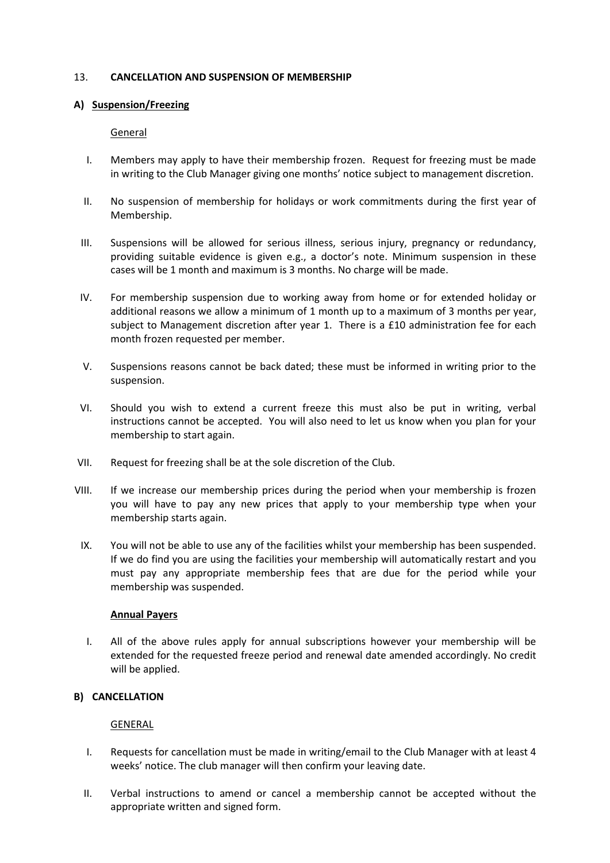# 13. **CANCELLATION AND SUSPENSION OF MEMBERSHIP**

# **A) Suspension/Freezing**

# General

- I. Members may apply to have their membership frozen. Request for freezing must be made in writing to the Club Manager giving one months' notice subject to management discretion.
- II. No suspension of membership for holidays or work commitments during the first year of Membership.
- III. Suspensions will be allowed for serious illness, serious injury, pregnancy or redundancy, providing suitable evidence is given e.g., a doctor's note. Minimum suspension in these cases will be 1 month and maximum is 3 months. No charge will be made.
- IV. For membership suspension due to working away from home or for extended holiday or additional reasons we allow a minimum of 1 month up to a maximum of 3 months per year, subject to Management discretion after year 1. There is a £10 administration fee for each month frozen requested per member.
- V. Suspensions reasons cannot be back dated; these must be informed in writing prior to the suspension.
- VI. Should you wish to extend a current freeze this must also be put in writing, verbal instructions cannot be accepted. You will also need to let us know when you plan for your membership to start again.
- VII. Request for freezing shall be at the sole discretion of the Club.
- VIII. If we increase our membership prices during the period when your membership is frozen you will have to pay any new prices that apply to your membership type when your membership starts again.
	- IX. You will not be able to use any of the facilities whilst your membership has been suspended. If we do find you are using the facilities your membership will automatically restart and you must pay any appropriate membership fees that are due for the period while your membership was suspended.

## **Annual Payers**

I. All of the above rules apply for annual subscriptions however your membership will be extended for the requested freeze period and renewal date amended accordingly. No credit will be applied.

# **B) CANCELLATION**

## GENERAL

- I. Requests for cancellation must be made in writing/email to the Club Manager with at least 4 weeks' notice. The club manager will then confirm your leaving date.
- II. Verbal instructions to amend or cancel a membership cannot be accepted without the appropriate written and signed form.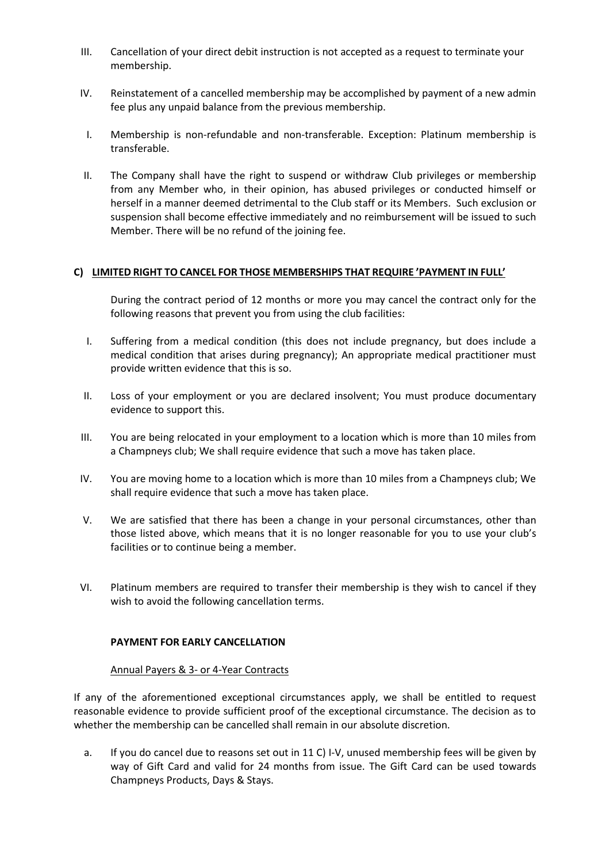- III. Cancellation of your direct debit instruction is not accepted as a request to terminate your membership.
- IV. Reinstatement of a cancelled membership may be accomplished by payment of a new admin fee plus any unpaid balance from the previous membership.
- I. Membership is non-refundable and non-transferable. Exception: Platinum membership is transferable.
- II. The Company shall have the right to suspend or withdraw Club privileges or membership from any Member who, in their opinion, has abused privileges or conducted himself or herself in a manner deemed detrimental to the Club staff or its Members. Such exclusion or suspension shall become effective immediately and no reimbursement will be issued to such Member. There will be no refund of the joining fee.

## **C) LIMITED RIGHT TO CANCEL FOR THOSE MEMBERSHIPS THAT REQUIRE 'PAYMENT IN FULL'**

During the contract period of 12 months or more you may cancel the contract only for the following reasons that prevent you from using the club facilities:

- I. Suffering from a medical condition (this does not include pregnancy, but does include a medical condition that arises during pregnancy); An appropriate medical practitioner must provide written evidence that this is so.
- II. Loss of your employment or you are declared insolvent; You must produce documentary evidence to support this.
- III. You are being relocated in your employment to a location which is more than 10 miles from a Champneys club; We shall require evidence that such a move has taken place.
- IV. You are moving home to a location which is more than 10 miles from a Champneys club; We shall require evidence that such a move has taken place.
- V. We are satisfied that there has been a change in your personal circumstances, other than those listed above, which means that it is no longer reasonable for you to use your club's facilities or to continue being a member.
- VI. Platinum members are required to transfer their membership is they wish to cancel if they wish to avoid the following cancellation terms.

## **PAYMENT FOR EARLY CANCELLATION**

## Annual Payers & 3- or 4-Year Contracts

If any of the aforementioned exceptional circumstances apply, we shall be entitled to request reasonable evidence to provide sufficient proof of the exceptional circumstance. The decision as to whether the membership can be cancelled shall remain in our absolute discretion.

a. If you do cancel due to reasons set out in 11 C) I-V, unused membership fees will be given by way of Gift Card and valid for 24 months from issue. The Gift Card can be used towards Champneys Products, Days & Stays.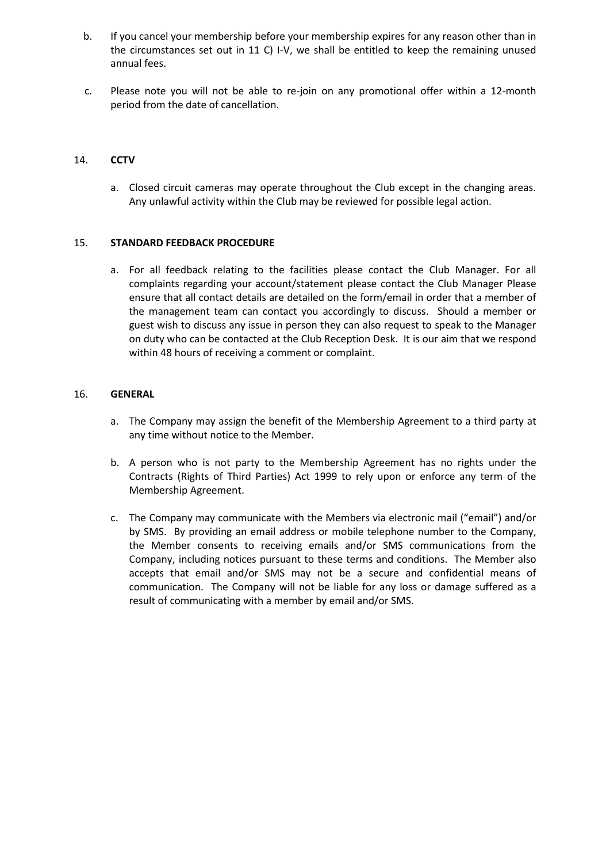- b. If you cancel your membership before your membership expires for any reason other than in the circumstances set out in 11 C) I-V, we shall be entitled to keep the remaining unused annual fees.
- c. Please note you will not be able to re-join on any promotional offer within a 12-month period from the date of cancellation.

# 14. **CCTV**

a. Closed circuit cameras may operate throughout the Club except in the changing areas. Any unlawful activity within the Club may be reviewed for possible legal action.

## 15. **STANDARD FEEDBACK PROCEDURE**

a. For all feedback relating to the facilities please contact the Club Manager. For all complaints regarding your account/statement please contact the Club Manager Please ensure that all contact details are detailed on the form/email in order that a member of the management team can contact you accordingly to discuss. Should a member or guest wish to discuss any issue in person they can also request to speak to the Manager on duty who can be contacted at the Club Reception Desk. It is our aim that we respond within 48 hours of receiving a comment or complaint.

## 16. **GENERAL**

- a. The Company may assign the benefit of the Membership Agreement to a third party at any time without notice to the Member.
- b. A person who is not party to the Membership Agreement has no rights under the Contracts (Rights of Third Parties) Act 1999 to rely upon or enforce any term of the Membership Agreement.
- c. The Company may communicate with the Members via electronic mail ("email") and/or by SMS. By providing an email address or mobile telephone number to the Company, the Member consents to receiving emails and/or SMS communications from the Company, including notices pursuant to these terms and conditions. The Member also accepts that email and/or SMS may not be a secure and confidential means of communication. The Company will not be liable for any loss or damage suffered as a result of communicating with a member by email and/or SMS.